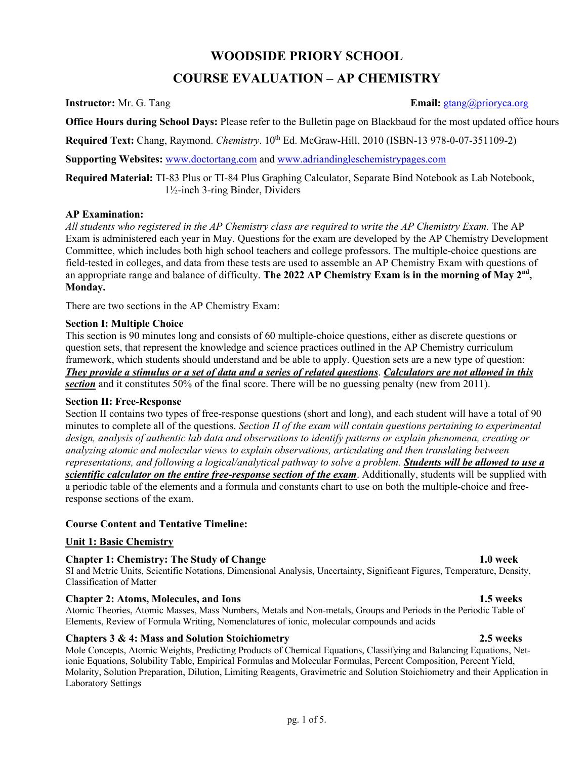# **WOODSIDE PRIORY SCHOOL**

# **COURSE EVALUATION – AP CHEMISTRY**

## **Instructor:** Mr. G. Tang **Email:** gtang *Email:* gtang *Email:* gtang *Email:* gtang *Email:* gtang *Email:* gtang *Email:* gtang *Email:* gtang *Email:* gtang *Email:* gtang *Email:* gtang *Email:* gtang *Email:* gtang

**Office Hours during School Days:** Please refer to the Bulletin page on Blackbaud for the most updated office hours

**Required Text:** Chang, Raymond. *Chemistry*. 10<sup>th</sup> Ed. McGraw-Hill, 2010 (ISBN-13 978-0-07-351109-2)

**Supporting Websites:** www.doctortang.com and www.adriandingleschemistrypages.com

**Required Material:** TI-83 Plus or TI-84 Plus Graphing Calculator, Separate Bind Notebook as Lab Notebook, 1½-inch 3-ring Binder, Dividers

## **AP Examination:**

All students who registered in the AP Chemistry class are required to write the AP Chemistry Exam. The AP Exam is administered each year in May. Questions for the exam are developed by the AP Chemistry Development Committee, which includes both high school teachers and college professors. The multiple-choice questions are field-tested in colleges, and data from these tests are used to assemble an AP Chemistry Exam with questions of an appropriate range and balance of difficulty. **The 2022 AP Chemistry Exam is in the morning of May 2nd, Monday.**

There are two sections in the AP Chemistry Exam:

## **Section I: Multiple Choice**

This section is 90 minutes long and consists of 60 multiple-choice questions, either as discrete questions or question sets, that represent the knowledge and science practices outlined in the AP Chemistry curriculum framework, which students should understand and be able to apply. Question sets are a new type of question: *They provide a stimulus or a set of data and a series of related questions*. *Calculators are not allowed in this*  **section** and it constitutes 50% of the final score. There will be no guessing penalty (new from 2011).

### **Section II: Free-Response**

Section II contains two types of free-response questions (short and long), and each student will have a total of 90 minutes to complete all of the questions. *Section II of the exam will contain questions pertaining to experimental design, analysis of authentic lab data and observations to identify patterns or explain phenomena, creating or analyzing atomic and molecular views to explain observations, articulating and then translating between representations, and following a logical/analytical pathway to solve a problem. Students will be allowed to use a scientific calculator on the entire free-response section of the exam*. Additionally, students will be supplied with a periodic table of the elements and a formula and constants chart to use on both the multiple-choice and freeresponse sections of the exam.

## **Course Content and Tentative Timeline:**

## **Unit 1: Basic Chemistry**

## **Chapter 1: Chemistry: The Study of Change 1.0 week**

SI and Metric Units, Scientific Notations, Dimensional Analysis, Uncertainty, Significant Figures, Temperature, Density, Classification of Matter

## **Chapter 2: Atoms, Molecules, and Ions 1.5 weeks**

Atomic Theories, Atomic Masses, Mass Numbers, Metals and Non-metals, Groups and Periods in the Periodic Table of Elements, Review of Formula Writing, Nomenclatures of ionic, molecular compounds and acids

## **Chapters 3 & 4: Mass and Solution Stoichiometry 2.5 weeks**

Mole Concepts, Atomic Weights, Predicting Products of Chemical Equations, Classifying and Balancing Equations, Netionic Equations, Solubility Table, Empirical Formulas and Molecular Formulas, Percent Composition, Percent Yield, Molarity, Solution Preparation, Dilution, Limiting Reagents, Gravimetric and Solution Stoichiometry and their Application in Laboratory Settings

### pg. 1 of 5.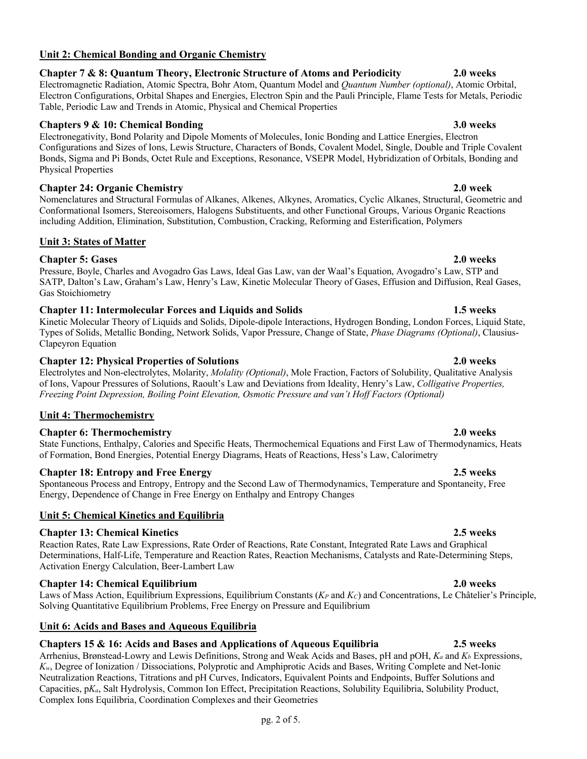## **Unit 2: Chemical Bonding and Organic Chemistry**

# **Chapter 7 & 8: Quantum Theory, Electronic Structure of Atoms and Periodicity 2.0 weeks**

Electromagnetic Radiation, Atomic Spectra, Bohr Atom, Quantum Model and *Quantum Number (optional)*, Atomic Orbital, Electron Configurations, Orbital Shapes and Energies, Electron Spin and the Pauli Principle, Flame Tests for Metals, Periodic Table, Periodic Law and Trends in Atomic, Physical and Chemical Properties

## **Chapters 9 & 10: Chemical Bonding 3.0 weeks**

Electronegativity, Bond Polarity and Dipole Moments of Molecules, Ionic Bonding and Lattice Energies, Electron Configurations and Sizes of Ions, Lewis Structure, Characters of Bonds, Covalent Model, Single, Double and Triple Covalent Bonds, Sigma and Pi Bonds, Octet Rule and Exceptions, Resonance, VSEPR Model, Hybridization of Orbitals, Bonding and Physical Properties

# **Chapter 24: Organic Chemistry 2.0 week**

Nomenclatures and Structural Formulas of Alkanes, Alkenes, Alkynes, Aromatics, Cyclic Alkanes, Structural, Geometric and Conformational Isomers, Stereoisomers, Halogens Substituents, and other Functional Groups, Various Organic Reactions including Addition, Elimination, Substitution, Combustion, Cracking, Reforming and Esterification, Polymers

# **Unit 3: States of Matter**

# **Chapter 5: Gases 2.0 weeks**

Pressure, Boyle, Charles and Avogadro Gas Laws, Ideal Gas Law, van der Waal's Equation, Avogadro's Law, STP and SATP, Dalton's Law, Graham's Law, Henry's Law, Kinetic Molecular Theory of Gases, Effusion and Diffusion, Real Gases, Gas Stoichiometry

# **Chapter 11: Intermolecular Forces and Liquids and Solids 1.5 weeks**

Kinetic Molecular Theory of Liquids and Solids, Dipole-dipole Interactions, Hydrogen Bonding, London Forces, Liquid State, Types of Solids, Metallic Bonding, Network Solids, Vapor Pressure, Change of State, *Phase Diagrams (Optional)*, Clausius-Clapeyron Equation

# **Chapter 12: Physical Properties of Solutions 2.0 weeks**

Electrolytes and Non-electrolytes, Molarity, *Molality (Optional)*, Mole Fraction, Factors of Solubility, Qualitative Analysis of Ions, Vapour Pressures of Solutions, Raoult's Law and Deviations from Ideality, Henry's Law, *Colligative Properties, Freezing Point Depression, Boiling Point Elevation, Osmotic Pressure and van't Hoff Factors (Optional)*

# **Unit 4: Thermochemistry**

# **Chapter 6: Thermochemistry 2.0 weeks**

State Functions, Enthalpy, Calories and Specific Heats, Thermochemical Equations and First Law of Thermodynamics, Heats of Formation, Bond Energies, Potential Energy Diagrams, Heats of Reactions, Hess's Law, Calorimetry

# **Chapter 18: Entropy and Free Energy 2.5 weeks**

Spontaneous Process and Entropy, Entropy and the Second Law of Thermodynamics, Temperature and Spontaneity, Free Energy, Dependence of Change in Free Energy on Enthalpy and Entropy Changes

# **Unit 5: Chemical Kinetics and Equilibria**

# **Chapter 13: Chemical Kinetics 2.5 weeks**

Reaction Rates, Rate Law Expressions, Rate Order of Reactions, Rate Constant, Integrated Rate Laws and Graphical Determinations, Half-Life, Temperature and Reaction Rates, Reaction Mechanisms, Catalysts and Rate-Determining Steps, Activation Energy Calculation, Beer-Lambert Law

# **Chapter 14: Chemical Equilibrium 2.0 weeks**

Laws of Mass Action, Equilibrium Expressions, Equilibrium Constants ( $K_P$  and  $K_C$ ) and Concentrations, Le Châtelier's Principle, Solving Quantitative Equilibrium Problems, Free Energy on Pressure and Equilibrium

# **Unit 6: Acids and Bases and Aqueous Equilibria**

# **Chapters 15 & 16: Acids and Bases and Applications of Aqueous Equilibria 2.5 weeks**

Arrhenius, Brønstead-Lowry and Lewis Definitions, Strong and Weak Acids and Bases, pH and pOH,  $K_a$  and  $K_b$  Expressions, *Kw*, Degree of Ionization / Dissociations, Polyprotic and Amphiprotic Acids and Bases, Writing Complete and Net-Ionic Neutralization Reactions, Titrations and pH Curves, Indicators, Equivalent Points and Endpoints, Buffer Solutions and Capacities, p*Ka*, Salt Hydrolysis, Common Ion Effect, Precipitation Reactions, Solubility Equilibria, Solubility Product, Complex Ions Equilibria, Coordination Complexes and their Geometries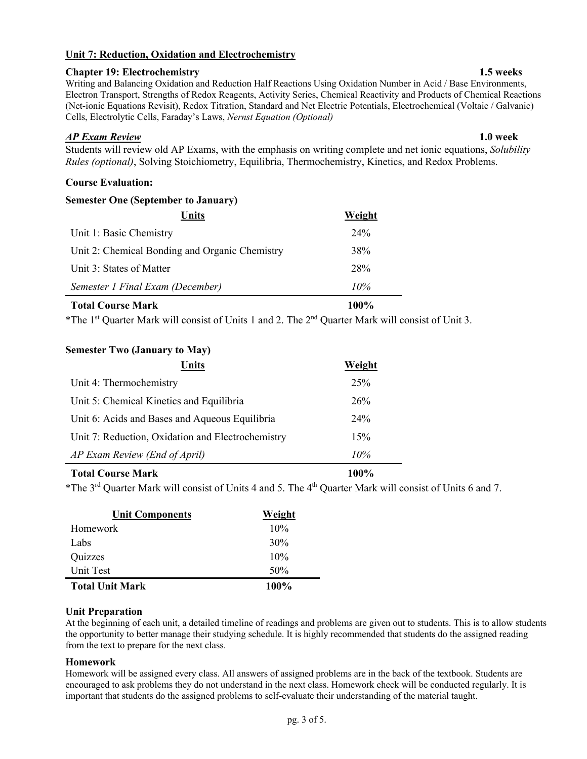## **Unit 7: Reduction, Oxidation and Electrochemistry**

## **Chapter 19: Electrochemistry 1.5 weeks**

Writing and Balancing Oxidation and Reduction Half Reactions Using Oxidation Number in Acid / Base Environments, Electron Transport, Strengths of Redox Reagents, Activity Series, Chemical Reactivity and Products of Chemical Reactions (Net-ionic Equations Revisit), Redox Titration, Standard and Net Electric Potentials, Electrochemical (Voltaic / Galvanic) Cells, Electrolytic Cells, Faraday's Laws, *Nernst Equation (Optional)*

## *AP Exam Review* **1.0 week**

Students will review old AP Exams, with the emphasis on writing complete and net ionic equations, *Solubility Rules (optional)*, Solving Stoichiometry, Equilibria, Thermochemistry, Kinetics, and Redox Problems.

## **Course Evaluation:**

| <b>Semester One (September to January)</b>     |        |  |
|------------------------------------------------|--------|--|
| Units                                          | Weight |  |
| Unit 1: Basic Chemistry                        | 24%    |  |
| Unit 2: Chemical Bonding and Organic Chemistry | 38%    |  |
| Unit 3: States of Matter                       | 28%    |  |
| Semester 1 Final Exam (December)               | 10%    |  |

## **Total Course Mark 100%**

\*The 1<sup>st</sup> Quarter Mark will consist of Units 1 and 2. The  $2<sup>nd</sup>$  Quarter Mark will consist of Unit 3.

## **Semester Two (January to May)**

| <b>Units</b>                                      | Weight |
|---------------------------------------------------|--------|
| Unit 4: Thermochemistry                           | 25%    |
| Unit 5: Chemical Kinetics and Equilibria          | 26%    |
| Unit 6: Acids and Bases and Aqueous Equilibria    | 24%    |
| Unit 7: Reduction, Oxidation and Electrochemistry | 15%    |
| AP Exam Review (End of April)                     | 10%    |
| <b>Total Course Mark</b>                          | 100%   |

\*The 3rd Quarter Mark will consist of Units 4 and 5. The 4th Quarter Mark will consist of Units 6 and 7.

| <b>Unit Components</b> | Weight  |
|------------------------|---------|
| Homework               | 10%     |
| Labs                   | 30%     |
| Quizzes                | 10%     |
| Unit Test              | 50%     |
| <b>Total Unit Mark</b> | $100\%$ |

## **Unit Preparation**

At the beginning of each unit, a detailed timeline of readings and problems are given out to students. This is to allow students the opportunity to better manage their studying schedule. It is highly recommended that students do the assigned reading from the text to prepare for the next class.

## **Homework**

Homework will be assigned every class. All answers of assigned problems are in the back of the textbook. Students are encouraged to ask problems they do not understand in the next class. Homework check will be conducted regularly. It is important that students do the assigned problems to self-evaluate their understanding of the material taught.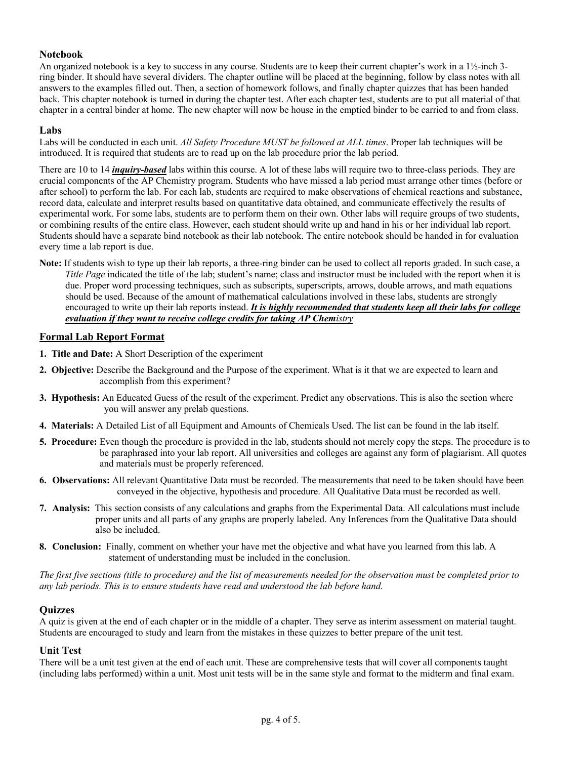## **Notebook**

An organized notebook is a key to success in any course. Students are to keep their current chapter's work in a 1½-inch 3 ring binder. It should have several dividers. The chapter outline will be placed at the beginning, follow by class notes with all answers to the examples filled out. Then, a section of homework follows, and finally chapter quizzes that has been handed back. This chapter notebook is turned in during the chapter test. After each chapter test, students are to put all material of that chapter in a central binder at home. The new chapter will now be house in the emptied binder to be carried to and from class.

### **Labs**

Labs will be conducted in each unit. *All Safety Procedure MUST be followed at ALL times*. Proper lab techniques will be introduced. It is required that students are to read up on the lab procedure prior the lab period.

There are 10 to 14 *inquiry-based* labs within this course. A lot of these labs will require two to three-class periods. They are crucial components of the AP Chemistry program. Students who have missed a lab period must arrange other times (before or after school) to perform the lab. For each lab, students are required to make observations of chemical reactions and substance, record data, calculate and interpret results based on quantitative data obtained, and communicate effectively the results of experimental work. For some labs, students are to perform them on their own. Other labs will require groups of two students, or combining results of the entire class. However, each student should write up and hand in his or her individual lab report. Students should have a separate bind notebook as their lab notebook. The entire notebook should be handed in for evaluation every time a lab report is due.

**Note:** If students wish to type up their lab reports, a three-ring binder can be used to collect all reports graded. In such case, a *Title Page* indicated the title of the lab; student's name; class and instructor must be included with the report when it is due. Proper word processing techniques, such as subscripts, superscripts, arrows, double arrows, and math equations should be used. Because of the amount of mathematical calculations involved in these labs, students are strongly encouraged to write up their lab reports instead. *It is highly recommended that students keep all their labs for college evaluation if they want to receive college credits for taking AP Chemistry*

## **Formal Lab Report Format**

- **1. Title and Date:** A Short Description of the experiment
- **2. Objective:** Describe the Background and the Purpose of the experiment. What is it that we are expected to learn and accomplish from this experiment?
- **3. Hypothesis:** An Educated Guess of the result of the experiment. Predict any observations. This is also the section where you will answer any prelab questions.
- **4. Materials:** A Detailed List of all Equipment and Amounts of Chemicals Used. The list can be found in the lab itself.
- **5. Procedure:** Even though the procedure is provided in the lab, students should not merely copy the steps. The procedure is to be paraphrased into your lab report. All universities and colleges are against any form of plagiarism. All quotes and materials must be properly referenced.
- **6. Observations:** All relevant Quantitative Data must be recorded. The measurements that need to be taken should have been conveyed in the objective, hypothesis and procedure. All Qualitative Data must be recorded as well.
- **7. Analysis:** This section consists of any calculations and graphs from the Experimental Data. All calculations must include proper units and all parts of any graphs are properly labeled. Any Inferences from the Qualitative Data should also be included.
- **8. Conclusion:** Finally, comment on whether your have met the objective and what have you learned from this lab. A statement of understanding must be included in the conclusion.

*The first five sections (title to procedure) and the list of measurements needed for the observation must be completed prior to any lab periods. This is to ensure students have read and understood the lab before hand.* 

### **Quizzes**

A quiz is given at the end of each chapter or in the middle of a chapter. They serve as interim assessment on material taught. Students are encouraged to study and learn from the mistakes in these quizzes to better prepare of the unit test.

### **Unit Test**

There will be a unit test given at the end of each unit. These are comprehensive tests that will cover all components taught (including labs performed) within a unit. Most unit tests will be in the same style and format to the midterm and final exam.